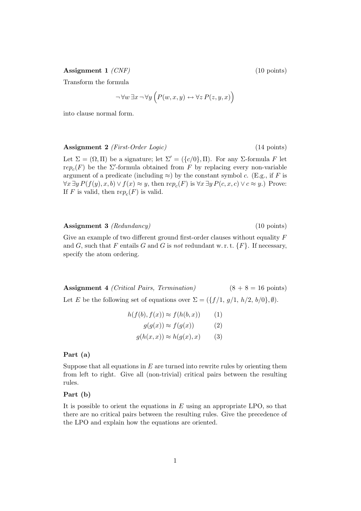Assignment 1 *(CNF)* (10 points)

Transform the formula

$$
\neg \forall w \exists x \neg \forall y \left( P(w, x, y) \leftrightarrow \forall z P(z, y, x) \right)
$$

into clause normal form.

Assignment 2 (*First-Order Logic*) (14 points)

Let  $\Sigma = (\Omega, \Pi)$  be a signature; let  $\Sigma' = (\{c/0\}, \Pi)$ . For any  $\Sigma$ -formula F let re $p_c(F)$  be the  $\Sigma'$ -formula obtained from F by replacing every non-variable argument of a predicate (including  $\approx$ ) by the constant symbol c. (E.g., if F is  $\forall x \exists y P(f(y), x, b) \lor f(x) \approx y$ , then  $rep_c(F)$  is  $\forall x \exists y P(c, x, c) \lor c \approx y$ .) Prove: If F is valid, then  $rep_c(F)$  is valid.

Assignment 3 *(Redundancy)* (10 points)

Give an example of two different ground first-order clauses without equality  $F$ and G, such that F entails G and G is not redundant w.r.t.  $\{F\}$ . If necessary, specify the atom ordering.

Assignment 4 (Critical Pairs, Termination)  $(8 + 8 = 16 \text{ points})$ Let E be the following set of equations over  $\Sigma = (\{f/1, g/1, h/2, b/0\}, \emptyset)$ .

$$
h(f(b), f(x)) \approx f(h(b, x)) \qquad (1)
$$

$$
g(g(x)) \approx f(g(x)) \qquad (2)
$$

$$
g(h(x, x)) \approx h(g(x), x) \qquad (3)
$$

### Part (a)

Suppose that all equations in  $E$  are turned into rewrite rules by orienting them from left to right. Give all (non-trivial) critical pairs between the resulting rules.

#### Part (b)

It is possible to orient the equations in  $E$  using an appropriate LPO, so that there are no critical pairs between the resulting rules. Give the precedence of the LPO and explain how the equations are oriented.